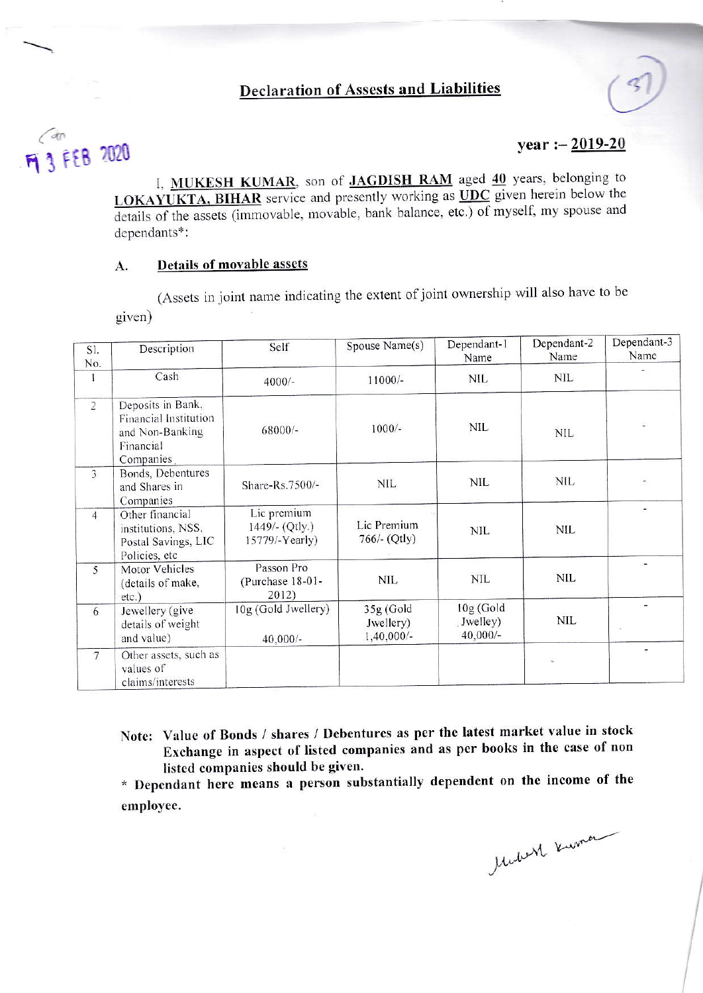## **Declaration of Assests and Liabilities**

# $\bigodot$ M 3 FEB 2020

## year :  $-2019-20$

I, MUKESH KUMAR, son of JAGDISH RAM aged 40 years, belonging to LOKAYUKTA, BIHAR service and presently working as UDC given herein below the details of the assets (immovable, movable, bank balance, etc.) of myself, my spouse and dependants\*:

### Details of movable assets A.

(Assets in joint name indicating the extent of joint ownership will also have to be given)

| SI.<br>No.              | Description                                                                             | Self                                            | Spouse Name(s)                           | Dependant-1<br>Name                 | Dependant-2<br>Name | Dependant-3<br>Name      |
|-------------------------|-----------------------------------------------------------------------------------------|-------------------------------------------------|------------------------------------------|-------------------------------------|---------------------|--------------------------|
|                         | Cash                                                                                    | $4000/-$                                        | 11000/-                                  | <b>NIL</b>                          | <b>NIL</b>          |                          |
| $\overline{2}$          | Deposits in Bank,<br>Financial Institution<br>and Non-Banking<br>Financial<br>Companies | 68000/-                                         | $1000/-$                                 | <b>NIL</b>                          | <b>NIL</b>          |                          |
| $\overline{\mathbf{3}}$ | Bonds, Debentures<br>and Shares in<br>Companies                                         | Share-Rs.7500/-                                 | NIL.                                     | NIL                                 | <b>NIL</b>          | $\overline{\phantom{a}}$ |
| $\overline{4}$          | Other financial<br>institutions, NSS,<br>Postal Savings, LIC<br>Policies, etc           | Lic premium<br>1449/- (Qtly.)<br>15779/-Yearly) | Lic Premium<br>766/- (Qtly)              | <b>NIL</b>                          | <b>NIL</b>          | ÷                        |
| 5                       | Motor Vehicles<br>(details of make,<br>$etc.$ )                                         | Passon Pro<br>(Purchase 18-01-<br>2012)         |                                          | <b>NIL</b>                          | <b>NIL</b>          |                          |
| 6                       | Jewellery (give<br>details of weight<br>and value)                                      | 10g (Gold Jwellery)<br>$40,000/-$               | $35g$ (Gold<br>Jwellery)<br>$1,40,000/-$ | 10g (Gold<br>Jwelley)<br>$40,000/-$ | <b>NIL</b>          | ä,<br>i.                 |
| $7\phantom{.0}$         | Other assets, such as<br>values of<br>claims/interests                                  |                                                 |                                          |                                     |                     | ۰                        |

Note: Value of Bonds / shares / Debentures as per the latest market value in stock Exchange in aspect of listed companies and as per books in the case of non listed companies should be given.

\* Dependant here means a person substantially dependent on the income of the employee.

lebeth Kuman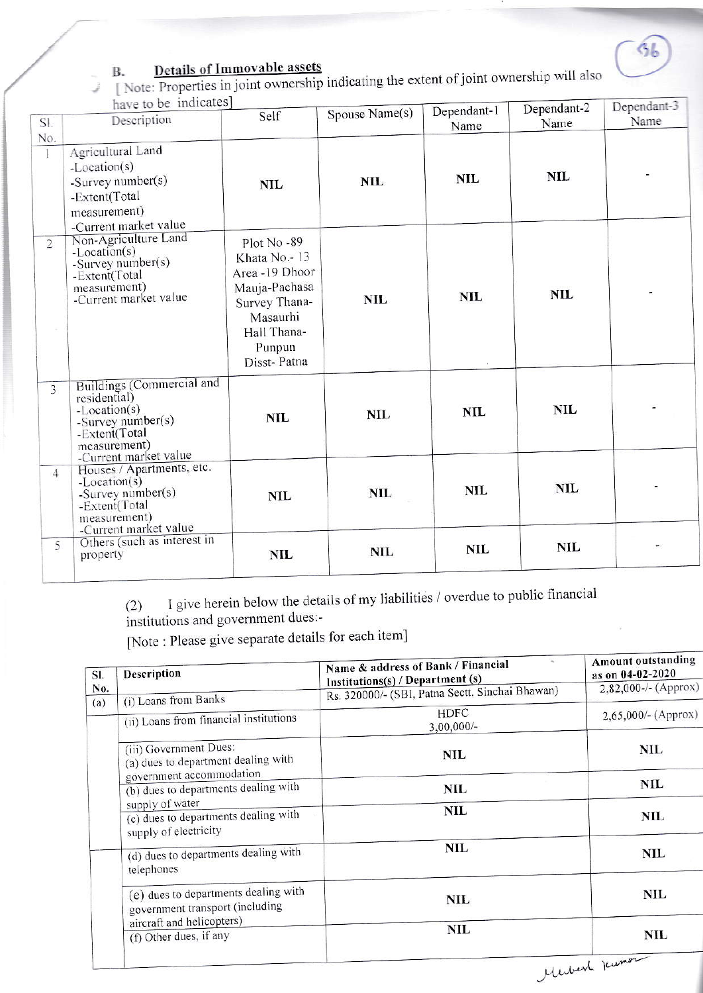

## **Details of Immovable assets**

[Note: Properties in joint ownership indicating the extent of joint ownership will also have to be indicates]

|                | have to be muneated                                                                                                                      | Spouse Name(s)                                                                                                                     | Dependant-1 | Dependant-2 | Dependant-5 |      |
|----------------|------------------------------------------------------------------------------------------------------------------------------------------|------------------------------------------------------------------------------------------------------------------------------------|-------------|-------------|-------------|------|
| SI.            | Description                                                                                                                              | Self                                                                                                                               |             | Name        | Name        | Name |
| No.            |                                                                                                                                          |                                                                                                                                    |             |             |             |      |
| $\mathbf{1}$   | Agricultural Land<br>-Location(s)<br>-Survey number(s)<br>-Extent(Total<br>measurement)<br>-Current market value                         | <b>NIL</b>                                                                                                                         | <b>NIL</b>  | <b>NIL</b>  | <b>NIL</b>  |      |
| $\overline{2}$ | Non-Agriculture Land<br>$-Location(s)$<br>-Survey number(s)<br>-Extent(Total<br>measurement)<br>-Current market value                    | Plot No-89<br>Khata No.-13<br>Area -19 Dhoor<br>Mauja-Pachasa<br>Survey Thana-<br>Masaurhi<br>Hall Thana-<br>Punpun<br>Disst-Patna | <b>NIL</b>  | <b>NIL</b>  | <b>NIL</b>  |      |
| $\overline{3}$ | Buildings (Commercial and<br>residential)<br>-Location(s)<br>-Survey number(s)<br>-Extent(Total<br>measurement)<br>-Current market value | <b>NIL</b>                                                                                                                         | <b>NIL</b>  | <b>NIL</b>  | <b>NIL</b>  |      |
| $\overline{4}$ | Houses / Apartments, etc.<br>$-Location(s)$<br>-Survey number(s)<br>-Extent(Total<br>measurement)                                        | <b>NIL</b>                                                                                                                         | <b>NIL</b>  | <b>NIL</b>  | <b>NIL</b>  |      |
| 5              | -Current market value<br>Others (such as interest in<br>property                                                                         | <b>NIL</b>                                                                                                                         | <b>NIL</b>  | <b>NIL</b>  | <b>NIL</b>  |      |

I give herein below the details of my liabilities / overdue to public financial  $(2)$ 

institutions and government dues:-

[Note: Please give separate details for each item]

| SI.        | Description                                                                               | Name & address of Bank / Financial<br>Institutions(s) / Department (s) | <b>Amount outstanding</b><br>as on 04-02-2020 |  |
|------------|-------------------------------------------------------------------------------------------|------------------------------------------------------------------------|-----------------------------------------------|--|
| No.<br>(a) | (i) Loans from Banks                                                                      | Rs. 320000/- (SBI, Patna Sectt. Sinchai Bhawan)                        | 2,82,000-/- (Approx)                          |  |
|            | (ii) Loans from financial institutions                                                    | <b>HDFC</b><br>$3,00,000/-$                                            | 2,65,000/- (Approx)                           |  |
|            | (iii) Government Dues:<br>(a) dues to department dealing with<br>government accommodation | <b>NIL</b>                                                             | NIL                                           |  |
|            | (b) dues to departments dealing with<br>supply of water                                   | NIL                                                                    | <b>NIL</b>                                    |  |
|            | (c) dues to departments dealing with<br>supply of electricity                             | <b>NIL</b>                                                             | NIL                                           |  |
|            | (d) dues to departments dealing with<br>telephones                                        | <b>NIL</b>                                                             | <b>NIL</b>                                    |  |
|            | (e) dues to departments dealing with<br>government transport (including                   | NIL                                                                    | NIL                                           |  |
|            | aircraft and helicopters)<br>(f) Other dues, if any                                       | <b>NIL</b>                                                             | NIL                                           |  |
|            |                                                                                           |                                                                        | $\sim$                                        |  |

Merbert Kuma